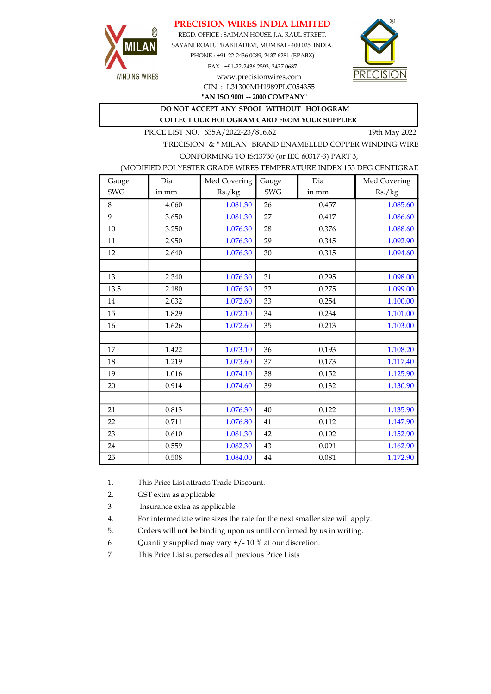### PRECISION WIRES INDIA LIMITED



REGD. OFFICE : SAIMAN HOUSE, J.A. RAUL STREET, SAYANI ROAD, PRABHADEVI, MUMBAI - 400 025. INDIA. PHONE : +91-22-2436 0089, 2437 6281 (EPABX) FAX : +91-22-2436 2593, 2437 0687 www.precisionwires.com



"AN ISO 9001 -- 2000 COMPANY" CIN : L31300MH1989PLC054355

DO NOT ACCEPT ANY SPOOL WITHOUT HOLOGRAM

COLLECT OUR HOLOGRAM CARD FROM YOUR SUPPLIER

PRICE LIST NO. 635A/2022-23/816.62 19th May 2022

"PRECISION" & " MILAN" BRAND ENAMELLED COPPER WINDING WIRE CONFORMING TO IS:13730 (or IEC 60317-3) PART 3,

### (MODIFIED POLYESTER GRADE WIRES TEMPERATURE INDEX 155 DEG CENTIGRAD

| Gauge      | Dia   | Med Covering | Gauge      | Dia   | Med Covering |
|------------|-------|--------------|------------|-------|--------------|
| <b>SWG</b> | in mm | Rs./kg       | <b>SWG</b> | in mm | Rs./kg       |
| 8          | 4.060 | 1,081.30     | 26         | 0.457 | 1,085.60     |
| 9          | 3.650 | 1,081.30     | 27         | 0.417 | 1,086.60     |
| 10         | 3.250 | 1,076.30     | 28         | 0.376 | 1,088.60     |
| 11         | 2.950 | 1,076.30     | 29         | 0.345 | 1,092.90     |
| 12         | 2.640 | 1,076.30     | 30         | 0.315 | 1,094.60     |
|            |       |              |            |       |              |
| 13         | 2.340 | 1,076.30     | 31         | 0.295 | 1,098.00     |
| 13.5       | 2.180 | 1,076.30     | 32         | 0.275 | 1,099.00     |
| 14         | 2.032 | 1,072.60     | 33         | 0.254 | 1,100.00     |
| 15         | 1.829 | 1,072.10     | 34         | 0.234 | 1,101.00     |
| 16         | 1.626 | 1,072.60     | 35         | 0.213 | 1,103.00     |
|            |       |              |            |       |              |
| 17         | 1.422 | 1,073.10     | 36         | 0.193 | 1,108.20     |
| 18         | 1.219 | 1,073.60     | 37         | 0.173 | 1,117.40     |
| 19         | 1.016 | 1,074.10     | 38         | 0.152 | 1,125.90     |
| 20         | 0.914 | 1,074.60     | 39         | 0.132 | 1,130.90     |
|            |       |              |            |       |              |
| 21         | 0.813 | 1,076.30     | 40         | 0.122 | 1,135.90     |
| 22         | 0.711 | 1,076.80     | 41         | 0.112 | 1,147.90     |
| 23         | 0.610 | 1,081.30     | 42         | 0.102 | 1,152.90     |
| 24         | 0.559 | 1,082.30     | 43         | 0.091 | 1,162.90     |
| 25         | 0.508 | 1,084.00     | 44         | 0.081 | 1,172.90     |

1. This Price List attracts Trade Discount.

2. GST extra as applicable

3 Insurance extra as applicable.

4. For intermediate wire sizes the rate for the next smaller size will apply.

5. Orders will not be binding upon us until confirmed by us in writing.

6 Quantity supplied may vary +/- 10 % at our discretion.

7 This Price List supersedes all previous Price Lists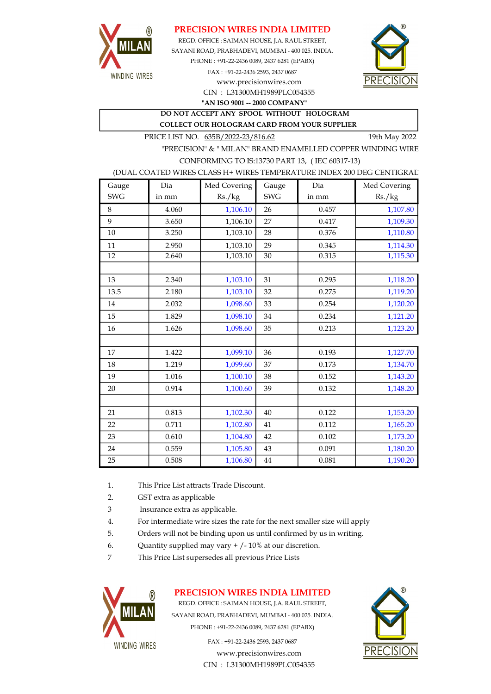

### PRECISION WIRES INDIA LIMITED

REGD. OFFICE : SAIMAN HOUSE, J.A. RAUL STREET, SAYANI ROAD, PRABHADEVI, MUMBAI - 400 025. INDIA. PHONE : +91-22-2436 0089, 2437 6281 (EPABX) FAX : +91-22-2436 2593, 2437 0687 www.precisionwires.com



CIN : L31300MH1989PLC054355 "AN ISO 9001 -- 2000 COMPANY"

DO NOT ACCEPT ANY SPOOL WITHOUT HOLOGRAM COLLECT OUR HOLOGRAM CARD FROM YOUR SUPPLIER

PRICE LIST NO. 635B/2022-23/816.62 19th May 2022

"PRECISION" & " MILAN" BRAND ENAMELLED COPPER WINDING WIRE CONFORMING TO IS:13730 PART 13, ( IEC 60317-13)

#### (DUAL COATED WIRES CLASS H+ WIRES TEMPERATURE INDEX 200 DEG CENTIGRAD

| Gauge           | Dia   | Med Covering | Gauge           | Dia   | Med Covering |
|-----------------|-------|--------------|-----------------|-------|--------------|
| <b>SWG</b>      | in mm | Rs./kg       | <b>SWG</b>      | in mm | Rs./kg       |
| 8               | 4.060 | 1,106.10     | 26              | 0.457 | 1,107.80     |
| 9               | 3.650 | 1,106.10     | 27              | 0.417 | 1,109.30     |
| 10              | 3.250 | 1,103.10     | 28              | 0.376 | 1,110.80     |
| 11              | 2.950 | 1,103.10     | 29              | 0.345 | 1,114.30     |
| $\overline{12}$ | 2.640 | 1,103.10     | $\overline{30}$ | 0.315 | 1,115.30     |
|                 |       |              |                 |       |              |
| 13              | 2.340 | 1,103.10     | 31              | 0.295 | 1,118.20     |
| 13.5            | 2.180 | 1,103.10     | 32              | 0.275 | 1,119.20     |
| 14              | 2.032 | 1,098.60     | 33              | 0.254 | 1,120.20     |
| 15              | 1.829 | 1,098.10     | 34              | 0.234 | 1,121.20     |
| 16              | 1.626 | 1,098.60     | 35              | 0.213 | 1,123.20     |
|                 |       |              |                 |       |              |
| 17              | 1.422 | 1,099.10     | 36              | 0.193 | 1,127.70     |
| 18              | 1.219 | 1,099.60     | 37              | 0.173 | 1,134.70     |
| 19              | 1.016 | 1,100.10     | 38              | 0.152 | 1,143.20     |
| 20              | 0.914 | 1,100.60     | 39              | 0.132 | 1,148.20     |
|                 |       |              |                 |       |              |
| 21              | 0.813 | 1,102.30     | 40              | 0.122 | 1,153.20     |
| 22              | 0.711 | 1,102.80     | 41              | 0.112 | 1,165.20     |
| 23              | 0.610 | 1,104.80     | 42              | 0.102 | 1,173.20     |
| 24              | 0.559 | 1,105.80     | 43              | 0.091 | 1,180.20     |
| 25              | 0.508 | 1,106.80     | $\bf 44$        | 0.081 | 1,190.20     |

- 1. This Price List attracts Trade Discount.
- 2. GST extra as applicable
- 3 Insurance extra as applicable.
- 4. For intermediate wire sizes the rate for the next smaller size will apply
- 5. Orders will not be binding upon us until confirmed by us in writing.
- 6. Quantity supplied may vary  $+/-10\%$  at our discretion.
- 7 This Price List supersedes all previous Price Lists



# PRECISION WIRES INDIA LIMITED

REGD. OFFICE : SAIMAN HOUSE, J.A. RAUL STREET, SAYANI ROAD, PRABHADEVI, MUMBAI - 400 025. INDIA. PHONE : +91-22-2436 0089, 2437 6281 (EPABX)

> www.precisionwires.com CIN : L31300MH1989PLC054355 FAX : +91-22-2436 2593, 2437 0687